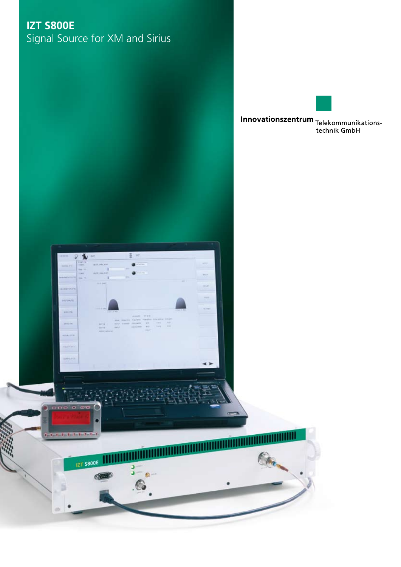## **IZT S800E**  Signal Source for XM and Sirius

**Innovationszentrum**<br>Telekommunikations-<br>technik GmbH

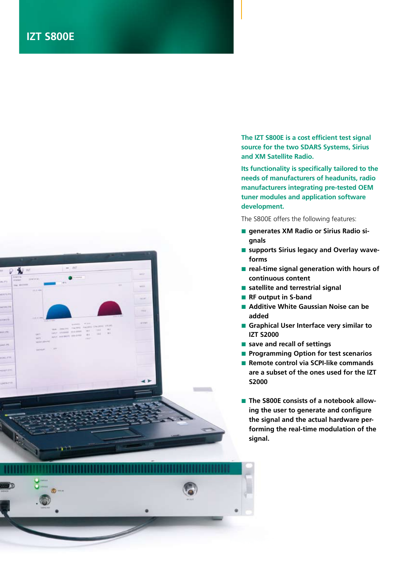

**The IZT S800E is a cost efficient test signal source for the two SDARS Systems, Sirius and XM Satellite Radio.**

**Its functionality is specifically tailored to the needs of manufacturers of headunits, radio manufacturers integrating pre-tested OEM tuner modules and application software development.**

The S800E offers the following features:

- generates **XM Radio or Sirius Radio signals**
- **supports Sirius legacy and Overlay waveforms**
- **real-time signal generation with hours of continuous content**
- **satellite and terrestrial signal**
- **RF output in S-band**
- **Additive White Gaussian Noise can be added**
- **Graphical User Interface very similar to IZT S2000**
- **save and recall of settings**
- **Programming Option for test scenarios**
- **Remote control via SCPI-like commands are a subset of the ones used for the IZT S2000**
- **The S800E consists of a notebook allowing the user to generate and configure the signal and the actual hardware performing the real-time modulation of the signal.**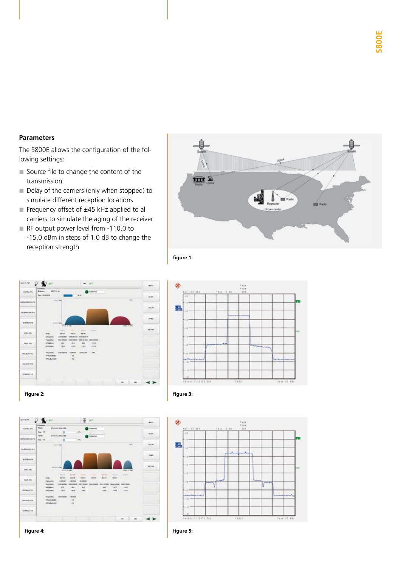## **Parameters**

The S800E allows the configuration of the following settings:

- Source file to change the content of the transmission
- Delay of the carriers (only when stopped) to simulate different reception locations
- Frequency offset of  $\pm 45$  kHz applied to all carriers to simulate the aging of the receiver
- RF output power level from -110.0 to -15.0 dBm in steps of 1.0 dB to change the reception strength











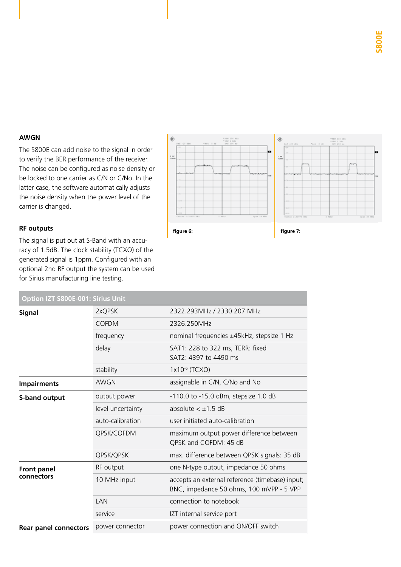## **AWGN**

The S800E can add noise to the signal in order to verify the BER performance of the receiver. The noise can be configured as noise density or be locked to one carrier as C/N or C/No. In the latter case, the software automatically adjusts the noise density when the power level of the carrier is changed.

## **RF outputs**

The signal is put out at S-Band with an accuracy of 1.5dB. The clock stability (TCXO) of the generated signal is 1ppm. Configured with an optional 2nd RF output the system can be used for Sirius manufacturing line testing.







| Option IZT S800E-001: Sirius Unit |                   |                                                                                             |  |  |
|-----------------------------------|-------------------|---------------------------------------------------------------------------------------------|--|--|
| <b>Signal</b>                     | 2xQPSK            | 2322.293MHz / 2330.207 MHz                                                                  |  |  |
|                                   | <b>COFDM</b>      | 2326.250MHz                                                                                 |  |  |
|                                   | frequency         | nominal frequencies ±45kHz, stepsize 1 Hz                                                   |  |  |
|                                   | delay             | SAT1: 228 to 322 ms, TERR: fixed<br>SAT2: 4397 to 4490 ms                                   |  |  |
|                                   | stability         | 1x10 <sup>-6</sup> (TCXO)                                                                   |  |  |
| <b>Impairments</b>                | <b>AWGN</b>       | assignable in C/N, C/No and No                                                              |  |  |
| S-band output                     | output power      | -110.0 to -15.0 dBm, stepsize 1.0 dB                                                        |  |  |
|                                   | level uncertainty | absolute $< \pm 1.5$ dB                                                                     |  |  |
|                                   | auto-calibration  | user initiated auto-calibration                                                             |  |  |
|                                   | QPSK/COFDM        | maximum output power difference between<br>QPSK and COFDM: 45 dB                            |  |  |
|                                   | QPSK/QPSK         | max. difference between QPSK signals: 35 dB                                                 |  |  |
| <b>Front panel</b><br>connectors  | RF output         | one N-type output, impedance 50 ohms                                                        |  |  |
|                                   | 10 MHz input      | accepts an external reference (timebase) input;<br>BNC, impedance 50 ohms, 100 mVPP - 5 VPP |  |  |
|                                   | LAN               | connection to notebook                                                                      |  |  |
|                                   | service           | IZT internal service port                                                                   |  |  |
| <b>Rear panel connectors</b>      | power connector   | power connection and ON/OFF switch                                                          |  |  |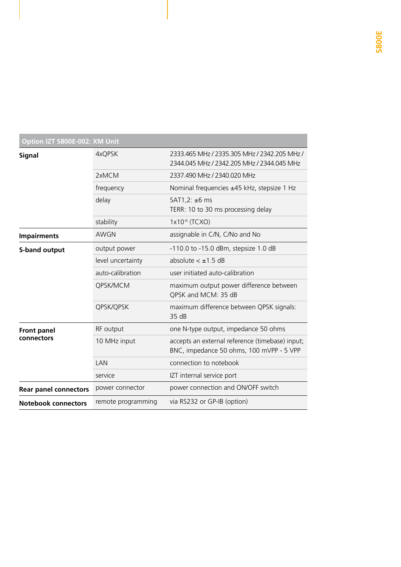| Option IZT S800E-002: XM Unit    |                    |                                                                                             |  |  |
|----------------------------------|--------------------|---------------------------------------------------------------------------------------------|--|--|
| <b>Signal</b>                    | 4xQPSK             | 2333.465 MHz / 2335.305 MHz / 2342.205 MHz /<br>2344.045 MHz / 2342.205 MHz / 2344.045 MHz  |  |  |
|                                  | 2xMCM              | 2337.490 MHz / 2340.020 MHz                                                                 |  |  |
|                                  | frequency          | Nominal frequencies ±45 kHz, stepsize 1 Hz                                                  |  |  |
|                                  | delay              | SAT1,2: $\pm$ 6 ms<br>TERR: 10 to 30 ms processing delay                                    |  |  |
|                                  | stability          | 1x10 <sup>-6</sup> (TCXO)                                                                   |  |  |
| <b>Impairments</b>               | <b>AWGN</b>        | assignable in C/N, C/No and No                                                              |  |  |
| <b>S-band output</b>             | output power       | -110.0 to -15.0 dBm, stepsize 1.0 dB                                                        |  |  |
|                                  | level uncertainty  | absolute $< \pm 1.5$ dB                                                                     |  |  |
|                                  | auto-calibration   | user initiated auto-calibration                                                             |  |  |
|                                  | QPSK/MCM           | maximum output power difference between<br>QPSK and MCM: 35 dB                              |  |  |
|                                  | QPSK/QPSK          | maximum difference between QPSK signals:<br>35 dB                                           |  |  |
| <b>Front panel</b><br>connectors | RF output          | one N-type output, impedance 50 ohms                                                        |  |  |
|                                  | 10 MHz input       | accepts an external reference (timebase) input;<br>BNC, impedance 50 ohms, 100 mVPP - 5 VPP |  |  |
|                                  | LAN                | connection to notebook                                                                      |  |  |
|                                  | service            | IZT internal service port                                                                   |  |  |
| <b>Rear panel connectors</b>     | power connector    | power connection and ON/OFF switch                                                          |  |  |
| <b>Notebook connectors</b>       | remote programming | via RS232 or GP-IB (option)                                                                 |  |  |